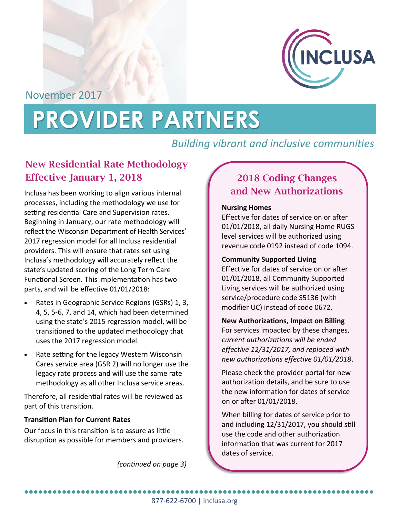

November 2017

# **PROVIDER PARTNERS**

# *Building vibrant and inclusive communities*

## **New Residential Rate Methodology Effective January 1, 2018**

Inclusa has been working to align various internal processes, including the methodology we use for setting residential Care and Supervision rates. Beginning in January, our rate methodology will reflect the Wisconsin Department of Health Services' 2017 regression model for all Inclusa residential providers. This will ensure that rates set using Inclusa's methodology will accurately reflect the state's updated scoring of the Long Term Care Functional Screen. This implementation has two parts, and will be effective 01/01/2018:

- Rates in Geographic Service Regions (GSRs) 1, 3, 4, 5, 5-6, 7, and 14, which had been determined using the state's 2015 regression model, will be transitioned to the updated methodology that uses the 2017 regression model.
- Rate setting for the legacy Western Wisconsin Cares service area (GSR 2) will no longer use the legacy rate process and will use the same rate methodology as all other Inclusa service areas.

Therefore, all residential rates will be reviewed as part of this transition.

#### **Transition Plan for Current Rates**

Our focus in this transition is to assure as little disruption as possible for members and providers.

*(continued on page 3)*

# **2018 Coding Changes and New Authorizations**

#### **Nursing Homes**

Effective for dates of service on or after 01/01/2018, all daily Nursing Home RUGS level services will be authorized using revenue code 0192 instead of code 1094.

#### **Community Supported Living**

Effective for dates of service on or after 01/01/2018, all Community Supported Living services will be authorized using service/procedure code S5136 (with modifier UC) instead of code 0672.

#### **New Authorizations, Impact on Billing**

For services impacted by these changes, *current authorizations will be ended effective 12/31/2017, and replaced with new authorizations effective 01/01/2018*.

Please check the provider portal for new authorization details, and be sure to use the new information for dates of service on or after 01/01/2018.

When billing for dates of service prior to and including 12/31/2017, you should still use the code and other authorization information that was current for 2017 dates of service.

877-622-6700 | inclusa.org ●●●●●●●●●●●●●●●●●●●●●●●●●●●●●●●●●●●●●●●●●●●●●●●●●●●●●●●●●●●●●●●●●●●●●●●●●●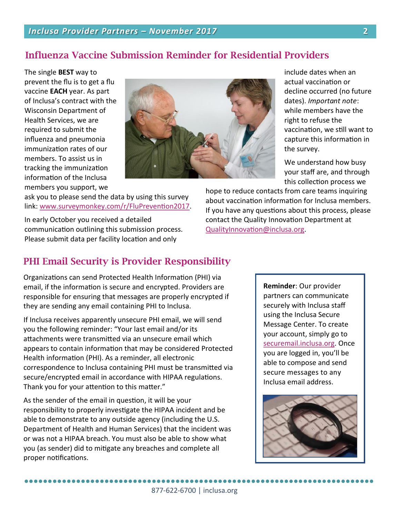## **Influenza Vaccine Submission Reminder for Residential Providers**

The single **BEST** way to prevent the flu is to get a flu vaccine **EACH** year. As part of Inclusa's contract with the Wisconsin Department of Health Services, we are required to submit the influenza and pneumonia immunization rates of our members. To assist us in tracking the immunization information of the Inclusa members you support, we



ask you to please send the data by using this survey link: [www.surveymonkey.com/r/FluPrevention2017.](http://www.surveymonkey.com/r/FluPrevention2017)

In early October you received a detailed communication outlining this submission process. Please submit data per facility location and only

## **PHI Email Security is Provider Responsibility**

Organizations can send Protected Health Information (PHI) via email, if the information is secure and encrypted. Providers are responsible for ensuring that messages are properly encrypted if they are sending any email containing PHI to Inclusa.

If Inclusa receives apparently unsecure PHI email, we will send you the following reminder: "Your last email and/or its attachments were transmitted via an unsecure email which appears to contain information that may be considered Protected Health information (PHI). As a reminder, all electronic correspondence to Inclusa containing PHI must be transmitted via secure/encrypted email in accordance with HIPAA regulations. Thank you for your attention to this matter."

As the sender of the email in question, it will be your responsibility to properly investigate the HIPAA incident and be able to demonstrate to any outside agency (including the U.S. Department of Health and Human Services) that the incident was or was not a HIPAA breach. You must also be able to show what you (as sender) did to mitigate any breaches and complete all proper notifications.

●●●●●●●●●●●●●●●●●●●●●●●●●●●●●●●●●●●●●●●●●●●●●●●●●●●●●●●●●●●●●●●●●●●●●●●●●●

include dates when an actual vaccination or decline occurred (no future dates). *Important note*: while members have the right to refuse the vaccination, we still want to capture this information in the survey.

We understand how busy your staff are, and through this collection process we

hope to reduce contacts from care teams inquiring about vaccination information for Inclusa members. If you have any questions about this process, please contact the Quality Innovation Department at [QualityInnovation@inclusa.org.](mailto:QualityInnovation@inclusa.org)

> **Reminder**: Our provider partners can communicate securely with Inclusa staff using the Inclusa Secure Message Center. To create your account, simply go to [securemail.inclusa.org.](http://securemail.inclusa.org/) Once you are logged in, you'll be able to compose and send secure messages to any Inclusa email address.

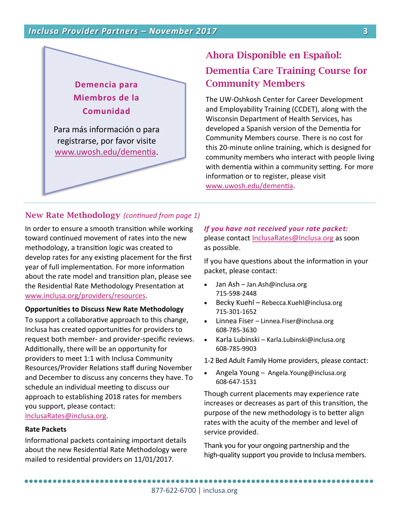

# **Ahora Disponible en Español: Dementia Care Training Course for Community Members**

The UW-Oshkosh Center for Career Development and Employability Training (CCDET), along with the Wisconsin Department of Health Services, has developed a Spanish version of the Dementia for Community Members course. There is no cost for this 20-minute online training, which is designed for community members who interact with people living with dementia within a community setting. For more information or to register, please visit [www.uwosh.edu/dementia.](http://www.uwosh.edu/dementia)

### **New Rate Methodology** *(continued from page 1)*

In order to ensure a smooth transition while working toward continued movement of rates into the new methodology, a transition logic was created to develop rates for any existing placement for the first year of full implementation. For more information about the rate model and transition plan, please see the Residential Rate Methodology Presentation at [www.inclusa.org/providers/resources.](http://www.inclusa.org/providers/resources)

#### **Opportunities to Discuss New Rate Methodology**

To support a collaborative approach to this change, Inclusa has created opportunities for providers to request both member- and provider-specific reviews. Additionally, there will be an opportunity for providers to meet 1:1 with Inclusa Community Resources/Provider Relations staff during November and December to discuss any concerns they have. To schedule an individual meeting to discuss our approach to establishing 2018 rates for members you support, please contact: [InclusaRates@inclusa.org.](mailto:InclusaRates@inclusa.org)

#### **Rate Packets**

Informational packets containing important details about the new Residential Rate Methodology were mailed to residential providers on 11/01/2017.

#### *If you have not received your rate packet:*  please contact [InclusaRates@Inclusa.org](mailto:InclusaRates@Inclusa.org) as soon as possible.

If you have questions about the information in your packet, please contact:

- Jan Ash Jan.Ash@inclusa.org 715-598-2448
- Becky Kuehl Rebecca.Kuehl@inclusa.org 715-301-1652
- Linnea Fiser Linnea.Fiser@inclusa.org 608-785-3630
- Karla Lubinski Karla.Lubinski@inclusa.org 608-785-9903
- 1-2 Bed Adult Family Home providers, please contact:
- Angela Young Angela.Young@inclusa.org 608-647-1531

Though current placements may experience rate increases or decreases as part of this transition, the purpose of the new methodology is to better align rates with the acuity of the member and level of service provided.

Thank you for your ongoing partnership and the high-quality support you provide to Inclusa members.

●●●●●●●●●●●●●●●●●●●●●●●●●●●●●●●●●●●●●●●●●●●●●●●●●●●●●●●●●●●●●●●●●●●●●●●●●●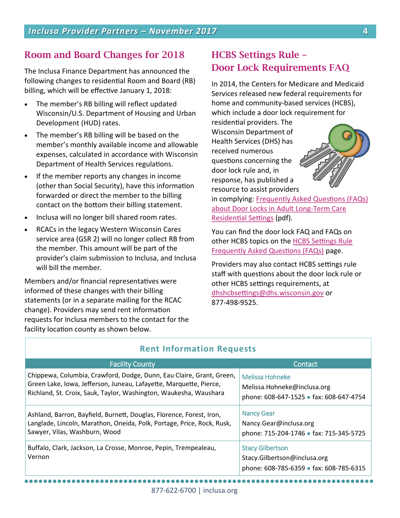## **Room and Board Changes for 2018**

The Inclusa Finance Department has announced the following changes to residential Room and Board (RB) billing, which will be effective January 1, 2018:

- The member's RB billing will reflect updated Wisconsin/U.S. Department of Housing and Urban Development (HUD) rates.
- The member's RB billing will be based on the member's monthly available income and allowable expenses, calculated in accordance with Wisconsin Department of Health Services regulations.
- If the member reports any changes in income (other than Social Security), have this information forwarded or direct the member to the billing contact on the bottom their billing statement.
- Inclusa will no longer bill shared room rates.
- RCACs in the legacy Western Wisconsin Cares service area (GSR 2) will no longer collect RB from the member. This amount will be part of the provider's claim submission to Inclusa, and Inclusa will bill the member.

Members and/or financial representatives were informed of these changes with their billing statements (or in a separate mailing for the RCAC change). Providers may send rent information requests for Inclusa members to the contact for the facility location county as shown below.

## **HCBS Settings Rule – Door Lock Requirements FAQ**

In 2014, the Centers for Medicare and Medicaid Services released new federal requirements for home and community-based services (HCBS), which include a door lock requirement for

residential providers. The Wisconsin Department of Health Services (DHS) has received numerous questions concerning the door lock rule and, in response, has published a resource to assist providers



in complying: [Frequently Asked Questions \(FAQs\)](http://www.dhs.wisconsin.gov/publications/p01817.pdf)  [about Door Locks in Adult Long](http://www.dhs.wisconsin.gov/publications/p01817.pdf)-Term Care [Residential Settings](http://www.dhs.wisconsin.gov/publications/p01817.pdf) (pdf).

You can find the door lock FAQ and FAQs on other HCBS topics on the [HCBS Settings Rule](http://www.dhs.wisconsin.gov/hcbs/faq.htm)  [Frequently Asked Questions \(FAQs\)](http://www.dhs.wisconsin.gov/hcbs/faq.htm) page.

Providers may also contact HCBS settings rule staff with questions about the door lock rule or other HCBS settings requirements, at [dhshcbsettings@dhs.wisconsin.gov](mailto:dhshcbsettings@dhs.wisconsin.gov) or 877-498-9525.

| <b>Rent Information Requests</b>                                                                                                                                                                                |                                                                                                    |
|-----------------------------------------------------------------------------------------------------------------------------------------------------------------------------------------------------------------|----------------------------------------------------------------------------------------------------|
| <b>Facility County</b>                                                                                                                                                                                          | Contact                                                                                            |
| Chippewa, Columbia, Crawford, Dodge, Dunn, Eau Claire, Grant, Green,<br>Green Lake, Iowa, Jefferson, Juneau, Lafayette, Marquette, Pierce,<br>Richland, St. Croix, Sauk, Taylor, Washington, Waukesha, Waushara | Melissa Hohneke<br>Melissa.Hohneke@inclusa.org<br>phone: 608-647-1525 • fax: 608-647-4754          |
| Ashland, Barron, Bayfield, Burnett, Douglas, Florence, Forest, Iron,<br>Langlade, Lincoln, Marathon, Oneida, Polk, Portage, Price, Rock, Rusk,<br>Sawyer, Vilas, Washburn, Wood                                 | <b>Nancy Gear</b><br>Nancy.Gear@inclusa.org<br>phone: 715-204-1746 • fax: 715-345-5725             |
| Buffalo, Clark, Jackson, La Crosse, Monroe, Pepin, Trempealeau,<br>Vernon                                                                                                                                       | <b>Stacy Gilbertson</b><br>Stacy.Gilbertson@inclusa.org<br>phone: 608-785-6359 • fax: 608-785-6315 |

#### **Rent Information Requests**